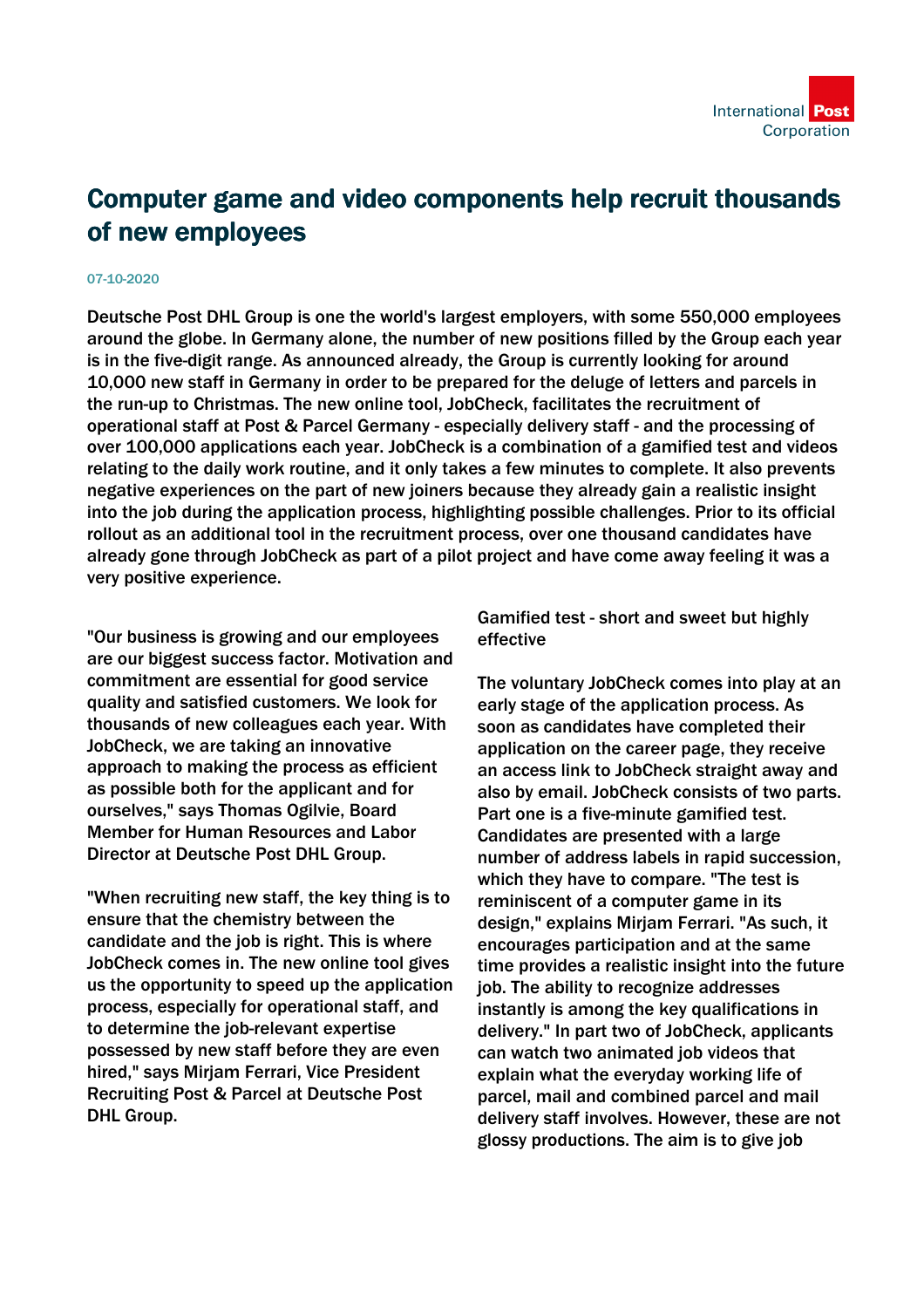

## Computer game and video components help recruit thousands of new employees

## 07-10-2020

Deutsche Post DHL Group is one the world's largest employers, with some 550,000 employees around the globe. In Germany alone, the number of new positions filled by the Group each year is in the five-digit range. As announced already, the Group is currently looking for around 10,000 new staff in Germany in order to be prepared for the deluge of letters and parcels in the run-up to Christmas. The new online tool, JobCheck, facilitates the recruitment of operational staff at Post & Parcel Germany - especially delivery staff - and the processing of over 100,000 applications each year. JobCheck is a combination of a gamified test and videos relating to the daily work routine, and it only takes a few minutes to complete. It also prevents negative experiences on the part of new joiners because they already gain a realistic insight into the job during the application process, highlighting possible challenges. Prior to its official rollout as an additional tool in the recruitment process, over one thousand candidates have already gone through JobCheck as part of a pilot project and have come away feeling it was a very positive experience.

"Our business is growing and our employees are our biggest success factor. Motivation and commitment are essential for good service quality and satisfied customers. We look for thousands of new colleagues each year. With JobCheck, we are taking an innovative approach to making the process as efficient as possible both for the applicant and for ourselves," says Thomas Ogilvie, Board Member for Human Resources and Labor Director at Deutsche Post DHL Group.

"When recruiting new staff, the key thing is to ensure that the chemistry between the candidate and the job is right. This is where JobCheck comes in. The new online tool gives us the opportunity to speed up the application process, especially for operational staff, and to determine the job-relevant expertise possessed by new staff before they are even hired," says Mirjam Ferrari, Vice President Recruiting Post & Parcel at Deutsche Post DHL Group.

Gamified test - short and sweet but highly effective

The voluntary JobCheck comes into play at an early stage of the application process. As soon as candidates have completed their application on the career page, they receive an access link to JobCheck straight away and also by email. JobCheck consists of two parts. Part one is a five-minute gamified test. Candidates are presented with a large number of address labels in rapid succession, which they have to compare. "The test is reminiscent of a computer game in its design," explains Mirjam Ferrari. "As such, it encourages participation and at the same time provides a realistic insight into the future job. The ability to recognize addresses instantly is among the key qualifications in delivery." In part two of JobCheck, applicants can watch two animated job videos that explain what the everyday working life of parcel, mail and combined parcel and mail delivery staff involves. However, these are not glossy productions. The aim is to give job